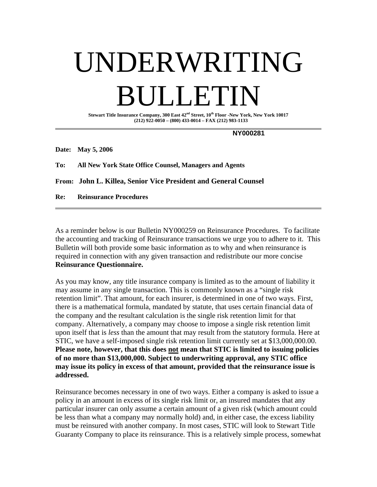# UNDERWRITING **DET**

**Stewart Title Insurance Company, 300 East 42nd Street, 10th Floor -New York, New York 10017 (212) 922-0050 – (800) 433-0014 – FAX (212) 983-1133** 

 **NY000281** 

**Date: May 5, 2006** 

**To: All New York State Office Counsel, Managers and Agents** 

**From: John L. Killea, Senior Vice President and General Counsel** 

**Re: Reinsurance Procedures**

As a reminder below is our Bulletin NY000259 on Reinsurance Procedures. To facilitate the accounting and tracking of Reinsurance transactions we urge you to adhere to it. This Bulletin will both provide some basic information as to why and when reinsurance is required in connection with any given transaction and redistribute our more concise **Reinsurance Questionnaire.**

As you may know, any title insurance company is limited as to the amount of liability it may assume in any single transaction. This is commonly known as a "single risk retention limit". That amount, for each insurer, is determined in one of two ways. First, there is a mathematical formula, mandated by statute, that uses certain financial data of the company and the resultant calculation is the single risk retention limit for that company. Alternatively, a company may choose to impose a single risk retention limit upon itself that is *less* than the amount that may result from the statutory formula. Here at STIC, we have a self-imposed single risk retention limit currently set at \$13,000,000.00. **Please note, however, that this does not mean that STIC is limited to issuing policies of no more than \$13,000,000. Subject to underwriting approval, any STIC office may issue its policy in excess of that amount, provided that the reinsurance issue is addressed.** 

Reinsurance becomes necessary in one of two ways. Either a company is asked to issue a policy in an amount in excess of its single risk limit or, an insured mandates that any particular insurer can only assume a certain amount of a given risk (which amount could be less than what a company may normally hold) and, in either case, the excess liability must be reinsured with another company. In most cases, STIC will look to Stewart Title Guaranty Company to place its reinsurance. This is a relatively simple process, somewhat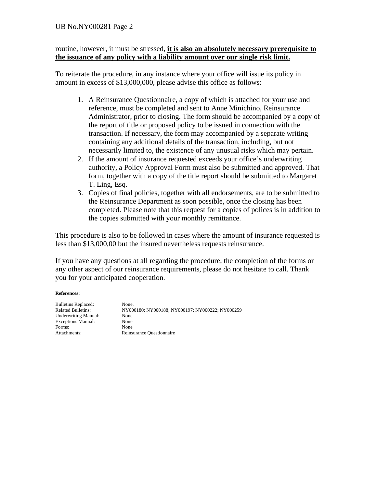# UB No.NY000281 Page 2

# routine, however, it must be stressed, **it is also an absolutely necessary prerequisite to the issuance of any policy with a liability amount over our single risk limit.**

To reiterate the procedure, in any instance where your office will issue its policy in amount in excess of \$13,000,000, please advise this office as follows:

- 1. A Reinsurance Questionnaire, a copy of which is attached for your use and reference, must be completed and sent to Anne Minichino, Reinsurance Administrator, prior to closing. The form should be accompanied by a copy of the report of title or proposed policy to be issued in connection with the transaction. If necessary, the form may accompanied by a separate writing containing any additional details of the transaction, including, but not necessarily limited to, the existence of any unusual risks which may pertain.
- 2. If the amount of insurance requested exceeds your office's underwriting authority, a Policy Approval Form must also be submitted and approved. That form, together with a copy of the title report should be submitted to Margaret T. Ling, Esq.
- 3. Copies of final policies, together with all endorsements, are to be submitted to the Reinsurance Department as soon possible, once the closing has been completed. Please note that this request for a copies of polices is in addition to the copies submitted with your monthly remittance.

This procedure is also to be followed in cases where the amount of insurance requested is less than \$13,000,00 but the insured nevertheless requests reinsurance.

If you have any questions at all regarding the procedure, the completion of the forms or any other aspect of our reinsurance requirements, please do not hesitate to call. Thank you for your anticipated cooperation.

## **References:**

| <b>Bulletins Replaced:</b>  |
|-----------------------------|
| <b>Related Bulletins:</b>   |
| <b>Underwriting Manual:</b> |
| <b>Exceptions Manual:</b>   |
| Forms:                      |
| Attachments:                |

None. RY000180; NY000188; NY000197; NY000222; NY000259 None None None Reinsurance Questionnaire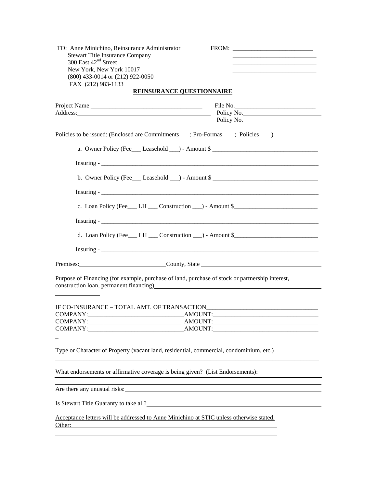| TO: Anne Minichino, Reinsurance Administrator<br><b>Stewart Title Insurance Company</b>                                                                                                                                                                  |                                                                                    |
|----------------------------------------------------------------------------------------------------------------------------------------------------------------------------------------------------------------------------------------------------------|------------------------------------------------------------------------------------|
| 300 East 42 <sup>nd</sup> Street                                                                                                                                                                                                                         | <u> 1989 - Johann Barbara, martxa al III-lea (h. 1989).</u>                        |
| New York, New York 10017                                                                                                                                                                                                                                 |                                                                                    |
| (800) 433-0014 or (212) 922-0050                                                                                                                                                                                                                         |                                                                                    |
| FAX (212) 983-1133                                                                                                                                                                                                                                       |                                                                                    |
| <b>REINSURANCE QUESTIONNAIRE</b>                                                                                                                                                                                                                         |                                                                                    |
|                                                                                                                                                                                                                                                          |                                                                                    |
| Address: Policy No. Policy No.                                                                                                                                                                                                                           |                                                                                    |
|                                                                                                                                                                                                                                                          |                                                                                    |
| Policies to be issued: (Enclosed are Commitments __; Pro-Formas __; Policies __)                                                                                                                                                                         |                                                                                    |
|                                                                                                                                                                                                                                                          | a. Owner Policy (Fee Leasehold $\Box$ ) - Amount \$                                |
|                                                                                                                                                                                                                                                          |                                                                                    |
|                                                                                                                                                                                                                                                          | b. Owner Policy (Fee Leasehold $\Box$ ) - Amount \$                                |
|                                                                                                                                                                                                                                                          |                                                                                    |
|                                                                                                                                                                                                                                                          | c. Loan Policy (Fee___ LH ___ Construction __) - Amount \$________________________ |
|                                                                                                                                                                                                                                                          |                                                                                    |
|                                                                                                                                                                                                                                                          | d. Loan Policy (Fee___ LH ___ Construction __) - Amount \$________________________ |
|                                                                                                                                                                                                                                                          |                                                                                    |
| Premises: County, State County, State                                                                                                                                                                                                                    |                                                                                    |
| Purpose of Financing (for example, purchase of land, purchase of stock or partnership interest,<br>construction loan, permanent financing)<br>express the construction loan, permanent financing)<br>express the construction loan, permanent financing) |                                                                                    |
|                                                                                                                                                                                                                                                          |                                                                                    |
|                                                                                                                                                                                                                                                          |                                                                                    |
|                                                                                                                                                                                                                                                          |                                                                                    |
|                                                                                                                                                                                                                                                          |                                                                                    |
|                                                                                                                                                                                                                                                          |                                                                                    |
| Type or Character of Property (vacant land, residential, commercial, condominium, etc.)                                                                                                                                                                  |                                                                                    |
| What endorsements or affirmative coverage is being given? (List Endorsements):                                                                                                                                                                           |                                                                                    |
|                                                                                                                                                                                                                                                          | <u> 1989 - Johann Stoff, amerikansk politiker (* 1908)</u>                         |
| Is Stewart Title Guaranty to take all?<br><u>Letter and the contract of the Cuaranty to take all</u>                                                                                                                                                     |                                                                                    |
| Acceptance letters will be addressed to Anne Minichino at STIC unless otherwise stated.                                                                                                                                                                  |                                                                                    |
| Other:                                                                                                                                                                                                                                                   |                                                                                    |
|                                                                                                                                                                                                                                                          |                                                                                    |